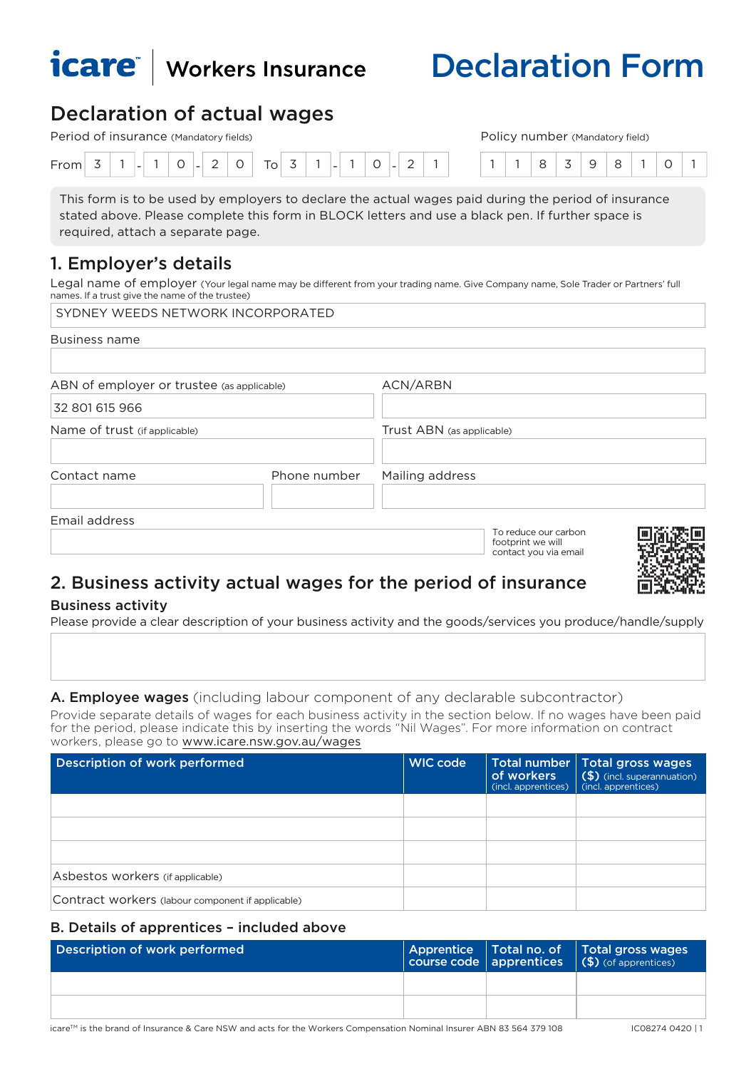

# Declaration Form

#### Declaration of actual wages Period of insurance (Mandatory fields) Policy number (Mandatory field)

| Period of Irisuratice (Mandatory fields) |  |  |                          |  |  |  |        |  | <b>POIICY HUIHDEL</b><br>(Mandatory field) |                          |  |                          |  |  |  |        |  |  |  |         |  |  |  |  |  |  |
|------------------------------------------|--|--|--------------------------|--|--|--|--------|--|--------------------------------------------|--------------------------|--|--------------------------|--|--|--|--------|--|--|--|---------|--|--|--|--|--|--|
| From                                     |  |  | $\overline{\phantom{a}}$ |  |  |  | $\sim$ |  | $T_{O+}$                                   | $\overline{\phantom{a}}$ |  | $\overline{\phantom{a}}$ |  |  |  | $\sim$ |  |  |  | $\cdot$ |  |  |  |  |  |  |

This form is to be used by employers to declare the actual wages paid during the period of insurance stated above. Please complete this form in BLOCK letters and use a black pen. If further space is required, attach a separate page.

## 1. Employer's details

Legal name of employer (Your legal name may be different from your trading name. Give Company name, Sole Trader or Partners' full names. If a trust give the name of the trustee)

| SYDNEY WEEDS NETWORK INCORPORATED          |              |                                                                    |  |  |  |  |  |  |  |  |
|--------------------------------------------|--------------|--------------------------------------------------------------------|--|--|--|--|--|--|--|--|
| <b>Business name</b>                       |              |                                                                    |  |  |  |  |  |  |  |  |
|                                            |              |                                                                    |  |  |  |  |  |  |  |  |
| ABN of employer or trustee (as applicable) |              | ACN/ARBN                                                           |  |  |  |  |  |  |  |  |
| 32 801 615 966                             |              |                                                                    |  |  |  |  |  |  |  |  |
| Name of trust (if applicable)              |              | Trust ABN (as applicable)                                          |  |  |  |  |  |  |  |  |
|                                            |              |                                                                    |  |  |  |  |  |  |  |  |
| Contact name                               | Phone number | Mailing address                                                    |  |  |  |  |  |  |  |  |
|                                            |              |                                                                    |  |  |  |  |  |  |  |  |
| Email address                              |              |                                                                    |  |  |  |  |  |  |  |  |
|                                            |              | To reduce our carbon<br>footprint we will<br>contact you via email |  |  |  |  |  |  |  |  |

## 2. Business activity actual wages for the period of insurance

#### Business activity

Please provide a clear description of your business activity and the goods/services you produce/handle/supply

## A. **Employee wages** (including labour component of any declarable subcontractor)

Provide separate details of wages for each business activity in the section below. If no wages have been paid for the period, please indicate this by inserting the words "Nil Wages". For more information on contract workers, please go to [www.icare.nsw.gov.au/wages](http://www.icare.nsw.gov.au/wages)

| Description of work performed                     | <b>WIC code</b> | <b>Total number</b><br>of workers<br>(incl. apprentices) | Total gross wages<br>$\binom{5}{5}$ (incl. superannuation)<br>(incl. apprentices) |
|---------------------------------------------------|-----------------|----------------------------------------------------------|-----------------------------------------------------------------------------------|
|                                                   |                 |                                                          |                                                                                   |
|                                                   |                 |                                                          |                                                                                   |
|                                                   |                 |                                                          |                                                                                   |
| Asbestos workers (if applicable)                  |                 |                                                          |                                                                                   |
| Contract workers (labour component if applicable) |                 |                                                          |                                                                                   |

## B. Details of apprentices – included above

| Description of work performed |  | Apprentice Total no. of Total gross wages<br>course code apprentices (\$) (of apprentices) |
|-------------------------------|--|--------------------------------------------------------------------------------------------|
|                               |  |                                                                                            |
|                               |  |                                                                                            |

icare™ is the brand of Insurance & Care NSW and acts for the Workers Compensation Nominal Insurer ABN 83 564 379 108 [C08274 0420 | 1

 $\sim$  and  $\sim$ }uuu}EMIm9}
1I9I=a]yMA
eE-